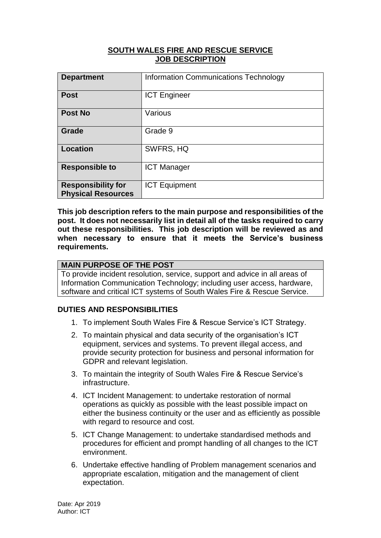#### **SOUTH WALES FIRE AND RESCUE SERVICE JOB DESCRIPTION**

| <b>Department</b>                                      | <b>Information Communications Technology</b> |
|--------------------------------------------------------|----------------------------------------------|
| <b>Post</b>                                            | <b>ICT Engineer</b>                          |
| <b>Post No</b>                                         | Various                                      |
| Grade                                                  | Grade 9                                      |
| <b>Location</b>                                        | SWFRS, HQ                                    |
| <b>Responsible to</b>                                  | <b>ICT Manager</b>                           |
| <b>Responsibility for</b><br><b>Physical Resources</b> | <b>ICT Equipment</b>                         |

**This job description refers to the main purpose and responsibilities of the post. It does not necessarily list in detail all of the tasks required to carry out these responsibilities. This job description will be reviewed as and when necessary to ensure that it meets the Service's business requirements.**

### **MAIN PURPOSE OF THE POST**

To provide incident resolution, service, support and advice in all areas of Information Communication Technology; including user access, hardware, software and critical ICT systems of South Wales Fire & Rescue Service.

# **DUTIES AND RESPONSIBILITIES**

- 1. To implement South Wales Fire & Rescue Service's ICT Strategy.
- 2. To maintain physical and data security of the organisation's ICT equipment, services and systems. To prevent illegal access, and provide security protection for business and personal information for GDPR and relevant legislation.
- 3. To maintain the integrity of South Wales Fire & Rescue Service's infrastructure.
- 4. ICT Incident Management: to undertake restoration of normal operations as quickly as possible with the least possible impact on either the business continuity or the user and as efficiently as possible with regard to resource and cost.
- 5. ICT Change Management: to undertake standardised methods and procedures for efficient and prompt handling of all changes to the ICT environment.
- 6. Undertake effective handling of Problem management scenarios and appropriate escalation, mitigation and the management of client expectation.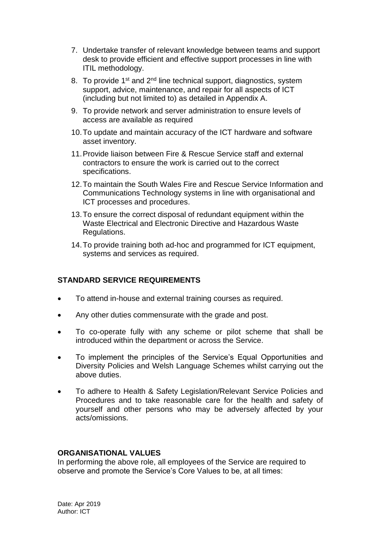- 7. Undertake transfer of relevant knowledge between teams and support desk to provide efficient and effective support processes in line with ITIL methodology.
- 8. To provide 1<sup>st</sup> and 2<sup>nd</sup> line technical support, diagnostics, system support, advice, maintenance, and repair for all aspects of ICT (including but not limited to) as detailed in Appendix A.
- 9. To provide network and server administration to ensure levels of access are available as required
- 10.To update and maintain accuracy of the ICT hardware and software asset inventory.
- 11.Provide liaison between Fire & Rescue Service staff and external contractors to ensure the work is carried out to the correct specifications.
- 12.To maintain the South Wales Fire and Rescue Service Information and Communications Technology systems in line with organisational and ICT processes and procedures.
- 13.To ensure the correct disposal of redundant equipment within the Waste Electrical and Electronic Directive and Hazardous Waste Regulations.
- 14.To provide training both ad-hoc and programmed for ICT equipment, systems and services as required.

# **STANDARD SERVICE REQUIREMENTS**

- To attend in-house and external training courses as required.
- Any other duties commensurate with the grade and post.
- To co-operate fully with any scheme or pilot scheme that shall be introduced within the department or across the Service.
- To implement the principles of the Service's Equal Opportunities and Diversity Policies and Welsh Language Schemes whilst carrying out the above duties.
- To adhere to Health & Safety Legislation/Relevant Service Policies and Procedures and to take reasonable care for the health and safety of yourself and other persons who may be adversely affected by your acts/omissions.

#### **ORGANISATIONAL VALUES**

In performing the above role, all employees of the Service are required to observe and promote the Service's Core Values to be, at all times: